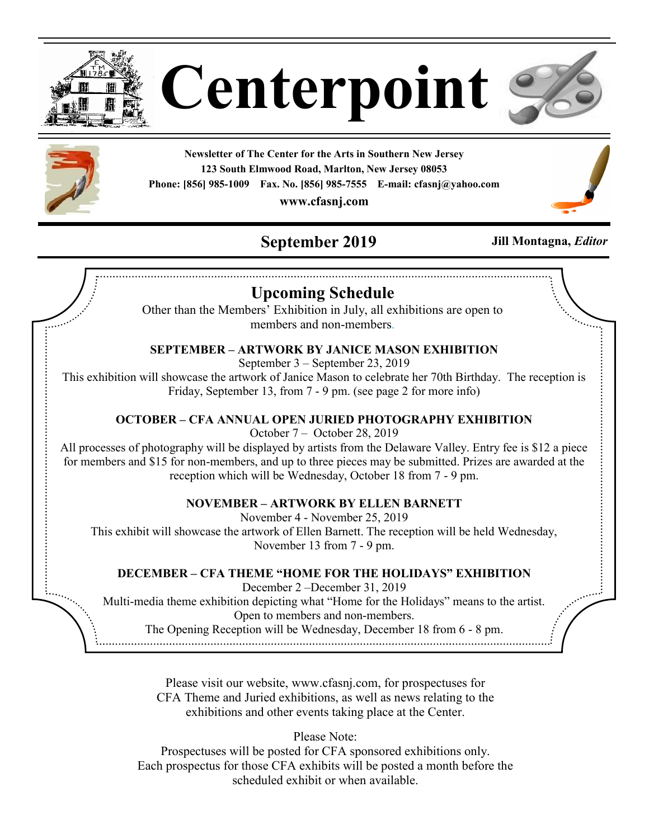

**Centerpoint**



**Newsletter of The Center for the Arts in Southern New Jersey 123 South Elmwood Road, Marlton, New Jersey 08053 Phone: [856] 985-1009 Fax. No. [856] 985-7555 E-mail: cfasnj@yahoo.com**

**www.cfasnj.com**

# **September 2019 Jill Montagna,** *Editor*



# **Upcoming Schedule**

Other than the Members' Exhibition in July, all exhibitions are open to members and non-members.

## **SEPTEMBER – ARTWORK BY JANICE MASON EXHIBITION**

September 3 – September 23, 2019

This exhibition will showcase the artwork of Janice Mason to celebrate her 70th Birthday. The reception is Friday, September 13, from 7 - 9 pm. (see page 2 for more info)

### **OCTOBER – CFA ANNUAL OPEN JURIED PHOTOGRAPHY EXHIBITION**

October 7 – October 28, 2019

All processes of photography will be displayed by artists from the Delaware Valley. Entry fee is \$12 a piece for members and \$15 for non-members, and up to three pieces may be submitted. Prizes are awarded at the reception which will be Wednesday, October 18 from 7 - 9 pm.

### **NOVEMBER – ARTWORK BY ELLEN BARNETT**

November 4 - November 25, 2019

This exhibit will showcase the artwork of Ellen Barnett. The reception will be held Wednesday, November 13 from 7 - 9 pm.

### **DECEMBER – CFA THEME "HOME FOR THE HOLIDAYS" EXHIBITION**

December 2 –December 31, 2019

Multi-media theme exhibition depicting what "Home for the Holidays" means to the artist. Open to members and non-members.

The Opening Reception will be Wednesday, December 18 from 6 - 8 pm.

Please visit our website, www.cfasnj.com, for prospectuses for CFA Theme and Juried exhibitions, as well as news relating to the exhibitions and other events taking place at the Center.

Please Note:

Prospectuses will be posted for CFA sponsored exhibitions only. Each prospectus for those CFA exhibits will be posted a month before the scheduled exhibit or when available.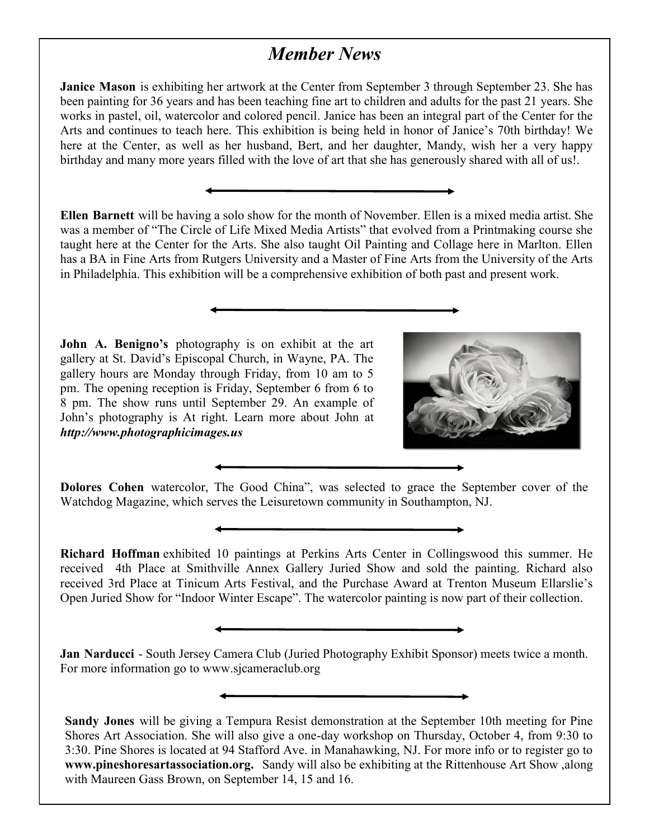## *Member News*

**Janice Mason** is exhibiting her artwork at the Center from September 3 through September 23. She has been painting for 36 years and has been teaching fine art to children and adults for the past 21 years. She works in pastel, oil, watercolor and colored pencil. Janice has been an integral part of the Center for the Arts and continues to teach here. This exhibition is being held in honor of Janice's 70th birthday! We here at the Center, as well as her husband, Bert, and her daughter, Mandy, wish her a very happy birthday and many more years filled with the love of art that she has generously shared with all of us!.

**Ellen Barnett** will be having a solo show for the month of November. Ellen is a mixed media artist. She was a member of "The Circle of Life Mixed Media Artists" that evolved from a Printmaking course she taught here at the Center for the Arts. She also taught Oil Painting and Collage here in Marlton. Ellen has a BA in Fine Arts from Rutgers University and a Master of Fine Arts from the University of the Arts in Philadelphia. This exhibition will be a comprehensive exhibition of both past and present work.

**John A. Benigno's** photography is on exhibit at the art gallery at St. David's Episcopal Church, in Wayne, PA. The gallery hours are Monday through Friday, from 10 am to 5 pm. The opening reception is Friday, September 6 from 6 to 8 pm. The show runs until September 29. An example of John's photography is At right. Learn more about John at *http://www.photographicimages.us*



**Dolores Cohen** watercolor, The Good China", was selected to grace the September cover of the Watchdog Magazine, which serves the Leisuretown community in Southampton, NJ.

**Richard Hoffman** exhibited 10 paintings at Perkins Arts Center in Collingswood this summer. He received 4th Place at Smithville Annex Gallery Juried Show and sold the painting. Richard also received 3rd Place at Tinicum Arts Festival, and the Purchase Award at Trenton Museum Ellarslie's Open Juried Show for "Indoor Winter Escape". The watercolor painting is now part of their collection.

**Jan Narducci** - South Jersey Camera Club (Juried Photography Exhibit Sponsor) meets twice a month. For more information go to www.sjcameraclub.org

**Sandy Jones** will be giving a Tempura Resist demonstration at the September 10th meeting for Pine Shores Art Association. She will also give a one-day workshop on Thursday, October 4, from 9:30 to 3:30. Pine Shores is located at 94 Stafford Ave. in Manahawking, NJ. For more info or to register go to **www.pineshoresartassociation.org.** Sandy will also be exhibiting at the Rittenhouse Art Show ,along with Maureen Gass Brown, on September 14, 15 and 16.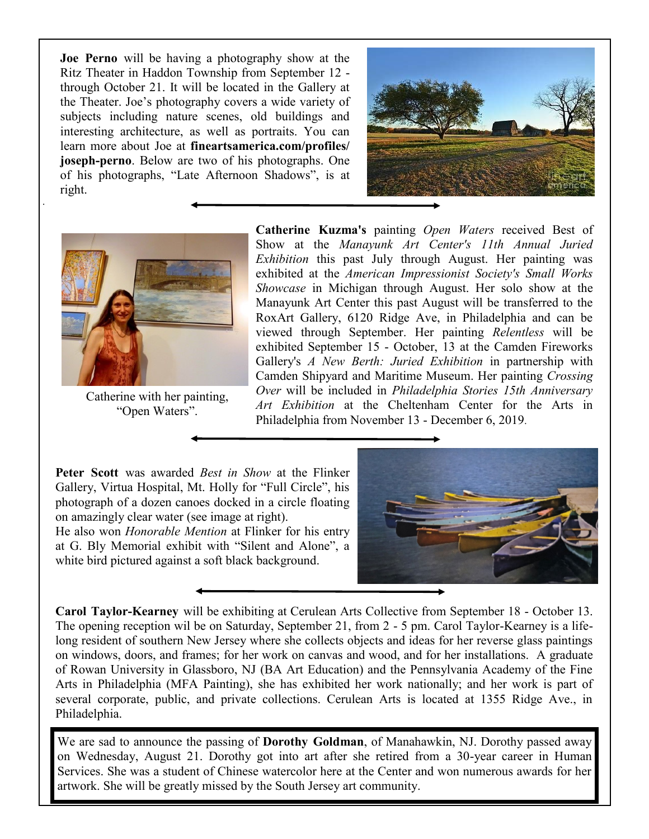**Joe Perno** will be having a photography show at the Ritz Theater in Haddon Township from September 12 through October 21. It will be located in the Gallery at the Theater. Joe's photography covers a wide variety of subjects including nature scenes, old buildings and interesting architecture, as well as portraits. You can learn more about Joe at **fineartsamerica.com/profiles/ joseph-perno**. Below are two of his photographs. One of his photographs, "Late Afternoon Shadows", is at right.





.

Catherine with her painting, "Open Waters".

**Catherine Kuzma's** painting *Open Waters* received Best of Show at the *Manayunk Art Center's 11th Annual Juried Exhibition* this past July through August. Her painting was exhibited at the *American Impressionist Society's Small Works Showcase* in Michigan through August. Her solo show at the Manayunk Art Center this past August will be transferred to the RoxArt Gallery, 6120 Ridge Ave, in Philadelphia and can be viewed through September. Her painting *Relentless* will be exhibited September 15 - October, 13 at the Camden Fireworks Gallery's *A New Berth: Juried Exhibition* in partnership with Camden Shipyard and Maritime Museum. Her painting *Crossing Over* will be included in *Philadelphia Stories 15th Anniversary Art Exhibition* at the Cheltenham Center for the Arts in Philadelphia from November 13 - December 6, 2019.

**Peter Scott** was awarded *Best in Show* at the Flinker Gallery, Virtua Hospital, Mt. Holly for "Full Circle", his photograph of a dozen canoes docked in a circle floating on amazingly clear water (see image at right).

He also won *Honorable Mention* at Flinker for his entry at G. Bly Memorial exhibit with "Silent and Alone", a white bird pictured against a soft black background.



**Carol Taylor-Kearney** will be exhibiting at Cerulean Arts Collective from September 18 - October 13. The opening reception wil be on Saturday, September 21, from 2 - 5 pm. Carol Taylor-Kearney is a lifelong resident of southern New Jersey where she collects objects and ideas for her reverse glass paintings on windows, doors, and frames; for her work on canvas and wood, and for her installations. A graduate of Rowan University in Glassboro, NJ (BA Art Education) and the Pennsylvania Academy of the Fine Arts in Philadelphia (MFA Painting), she has exhibited her work nationally; and her work is part of several corporate, public, and private collections. Cerulean Arts is located at 1355 Ridge Ave., in Philadelphia.

We are sad to announce the passing of **Dorothy Goldman**, of Manahawkin, NJ. Dorothy passed away on Wednesday, August 21. Dorothy got into art after she retired from a 30-year career in Human Services. She was a student of Chinese watercolor here at the Center and won numerous awards for her artwork. She will be greatly missed by the South Jersey art community.